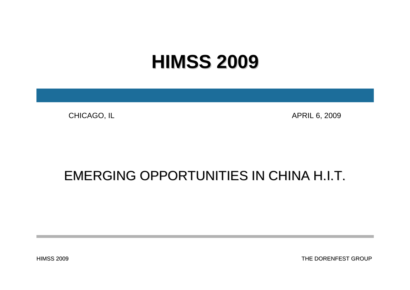# **HIMSS 2009 HIMSS 2009**

CHICAGO, IL APRIL 6, 2009

## EMERGING OPPORTUNITIES IN CHINA H.I.T.

HIMSS 2009

THE DORENFEST GROUP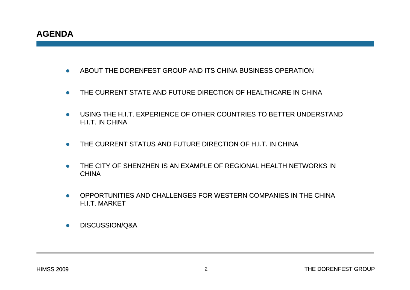- zABOUT THE DORENFEST GROUP AND ITS CHINA BUSINESS OPERATION
- $\bullet$ THE CURRENT STATE AND FUTURE DIRECTION OF HEALTHCARE IN CHINA
- $\bullet$  USING THE H.I.T. EXPERIENCE OF OTHER COUNTRIES TO BETTER UNDERSTAND H.I.T. IN CHINA
- zTHE CURRENT STATUS AND FUTURE DIRECTION OF H.I.T. IN CHINA
- zTHE CITY OF SHENZHEN IS AN EXAMPLE OF REGIONAL HEALTH NETWORKS IN CHINA
- $\bullet$ OPPORTUNITIES AND CHALLENGES FOR WESTERN COMPANIES IN THE CHINA HIT MARKFT
- $\bullet$ DISCUSSION/Q&A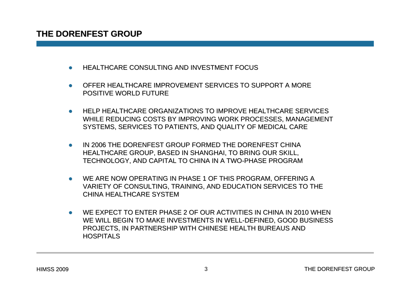- zHEALTHCARE CONSULTING AND INVESTMENT FOCUS
- $\bullet$ OFFER HEALTHCARE IMPROVEMENT SERVICES TO SUPPORT A MORE POSITIVE WORLD FUTURE
- $\bullet$ HELP HEALTHCARE ORGANIZATIONS TO IMPROVE HEALTHCARE SERVICES WHILE REDUCING COSTS BY IMPROVING WORK PROCESSES, MANAGEMENT SYSTEMS, SERVICES TO PATIENTS, AND QUALITY OF MEDICAL CARE
- $\bullet$ IN 2006 THE DORENFEST GROUP FORMED THE DORENFEST CHINA HEALTHCARE GROUP, BASED IN SHANGHAI, TO BRING OUR SKILL, TECHNOLOGY, AND CAPITAL TO CHINA IN A TWO-PHASE PROGRAM
- $\bullet$ WE ARE NOW OPERATING IN PHASE 1 OF THIS PROGRAM, OFFERING A VARIETY OF CONSULTING, TRAINING, AND EDUCATION SERVICES TO THE CHINA HEALTHCARE SYSTEM
- $\bullet$  WE EXPECT TO ENTER PHASE 2 OF OUR ACTIVITIES IN CHINA IN 2010 WHEN WE WILL BEGIN TO MAKE INVESTMENTS IN WELL-DEFINED, GOOD BUSINESS PROJECTS, IN PARTNERSHIP WITH CHINESE HEALTH BUREAUS AND PROJECTS, IN PARTNERSHIP WITH CHINESE HEALTH BUREAUS AND **HOSPITALS**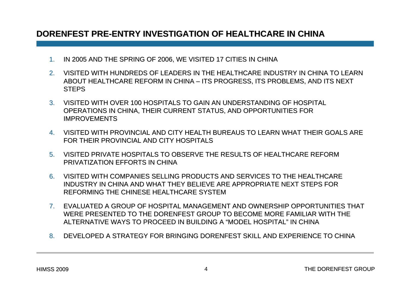#### **DORENFEST PRE DORENFEST PRE-ENTRY INVESTIGATION OF HEALTHCARE IN CHINA ENTRY INVESTIGATION OF HEALTHCARE IN CHINA**

- 1.IN 2005 AND THE SPRING OF 2006, WE VISITED 17 CITIES IN CHINA
- 2. VISITED WITH HUNDREDS OF LEADERS IN THE HEALTHCARE INDUSTRY IN CHINA TO LEARN ABOUT HEALTHCARE REFORM IN CHINA – ITS PROGRESS, ITS PROBLEMS, AND ITS NEXT **STEPS**
- 3. VISITED WITH OVER 100 HOSPITALS TO GAIN AN UNDERSTANDING OF HOSPITAL OPERATIONS IN CHINA, THEIR CURRENT STATUS, AND OPPORTUNITIES FOR IMPROVEMENTS
- 4. VISITED WITH PROVINCIAL AND CITY HEALTH BUREAUS TO LEARN WHAT THEIR GOALS ARE FOR THEIR PROVINCIAL AND CITY HOSPITALS
- 5. VISITED PRIVATE HOSPITALS TO OBSERVE THE RESULTS OF HEALTHCARE REFORM PRIVATIZATION EFFORTS IN CHINA
- 6.VISITED WITH COMPANIES SELLING PRODUCTS AND SERVICES TO THE HEALTHCARE INDUSTRY IN CHINA AND WHAT THEY BELIEVE ARE APPROPRIATE NEXT STEPS FOR REFORMING THE CHINESE HEALTHCARE SYSTEM
- 7. EVALUATED A GROUP OF HOSPITAL MANAGEMENT AND OWNERSHIP OPPORTUNITIES THAT WERE PRESENTED TO THE DORENFEST GROUP TO BECOME MORE FAMILIAR WITH THE ALTERNATIVE WAYS TO PROCEED IN BUILDING A "MODEL HOSPITAL" IN CHINA
- 8. DEVELOPED A STRATEGY FOR BRINGING DORENFEST SKILL AND EXPERIENCE TO CHINA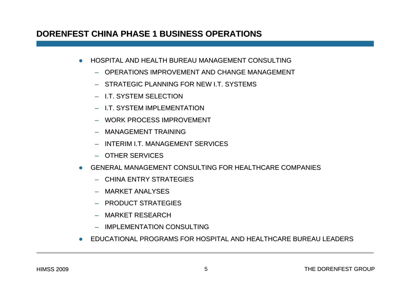#### **DORENFEST CHINA PHASE 1 BUSINESS OPERATIONS DORENFEST CHINA PHASE 1 BUSINESS OPERATIONS**

- $\bullet$ HOSPITAL AND HEALTH BUREAU MANAGEMENT CONSULTING
	- OPERATIONS IMPROVEMENT AND CHANGE MANAGEMENT
	- STRATEGIC PLANNING FOR NEW I.T. SYSTEMS
	- I.T. SYSTEM SELECTION
	- I.T. SYSTEM IMPLEMENTATION
	- WORK PROCESS IMPROVEMENT
	- MANAGEMENT TRAINING
	- INTERIM I.T. MANAGEMENT SERVICES
	- OTHER SERVICES
- $\bullet$  GENERAL MANAGEMENT CONSULTING FOR HEALTHCARE COMPANIES
	- CHINA ENTRY STRATEGIES
	- MARKET ANALYSES
	- PRODUCT STRATEGIES
	- MARKET RESEARCH
	- IMPLEMENTATION CONSULTING
- zEDUCATIONAL PROGRAMS FOR HOSPITAL AND HEALTHCARE BUREAU LEADERS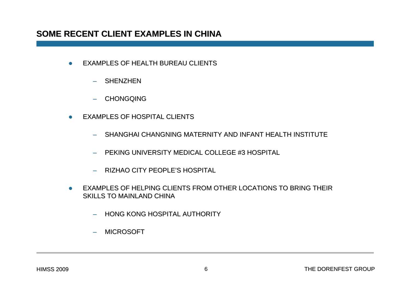#### **SOME RECENT CLIENT EXAMPLES IN CHINA SOME RECENT CLIENT EXAMPLES IN CHINA**

- $\bullet$ EXAMPLES OF HEALTH BUREAU CLIENTS
	- SHENZHEN
	- CHONGQING
- $\bullet$  EXAMPLES OF HOSPITAL CLIENTS
	- SHANGHAI CHANGNING MATERNITY AND INFANT HEALTH INSTITUTE
	- PEKING UNIVERSITY MEDICAL COLLEGE #3 HOSPITAL PEKING UNIVERSITY MEDICAL COLLEGE #3 HOSPITAL
	- RIZHAO CITY PEOPLE'S HOSPITAL S HOSPITAL
- $\bullet$ EXAMPLES OF HELPING CLIENTS FROM OTHER LOCATIONS TO BRING THEIR SKILLS TO MAINLAND CHINA
	- HONG KONG HOSPITAL AUTHORITY
	- –MICROSOFT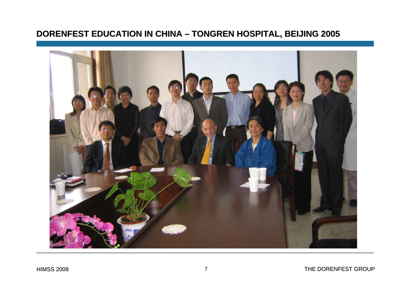## **DORENFEST EDUCATION IN CHINA – TONGREN HOSPITAL, BEIJING 2005**

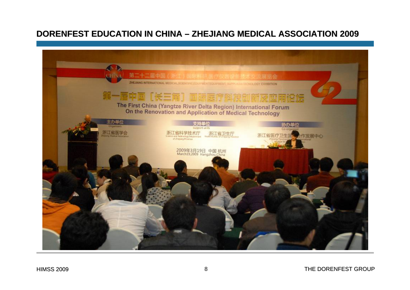#### **DORENFEST EDUCATION IN CHINA – ZHEJIANG MEDICAL ASSOCIATION 2009**

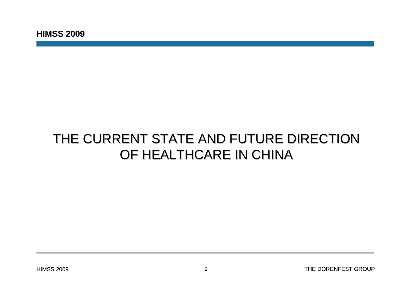## THE CURRENT STATE AND FUTURE DIRECTION OF HEALTHCARE IN CHINA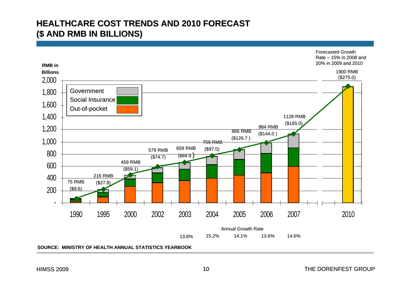#### **HEALTHCARE COST TRENDS AND 2010 FORECAST HEALTHCARE COST TRENDS AND 2010 FORECAST(\$ AND RMB IN BILLIONS) (\$ AND RMB IN BILLIONS)**

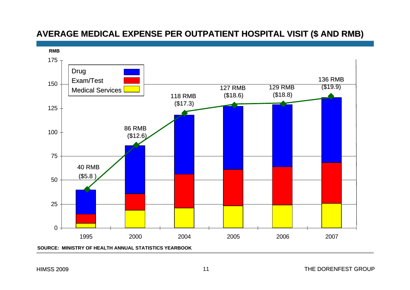### **AVERAGE MEDICAL EXPENSE PER OUTPATIENT HOSPITAL VISIT (\$ AND RMB AVERAGE MEDICAL EXPENSE PER OUTPATIENT HOSPITAL VISIT (\$ AND RMB)**

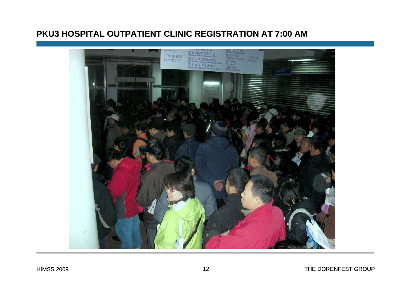#### **PKU3 HOSPITAL OUTPATIENT CLINIC REGISTRATION AT 7:00 AM**

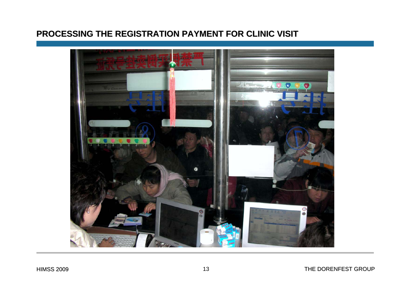#### **PROCESSING THE REGISTRATION PAYMENT FOR CLINIC VISIT**

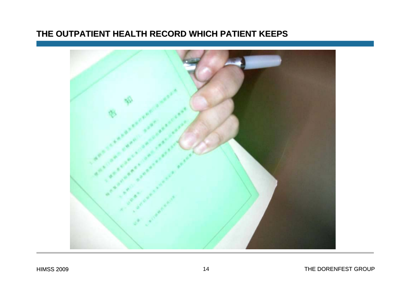#### **THE OUTPATIENT HEALTH RECORD WHICH PATIENT KEEPS THE OUTPATIENT HEALTH RECORD WHICH PATIENT KEEPS**

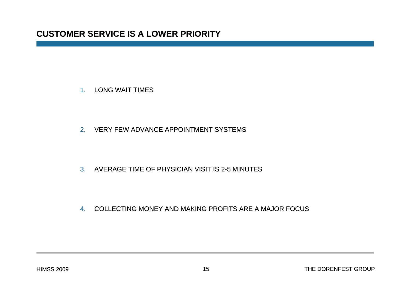1. LONG WAIT TIMES

2. VERY FEW ADVANCE APPOINTMENT SYSTEMS

3. AVERAGE TIME OF PHYSICIAN VISIT IS 2-5 MINUTES

4. COLLECTING MONEY AND MAKING PROFITS ARE A MAJOR FOCUS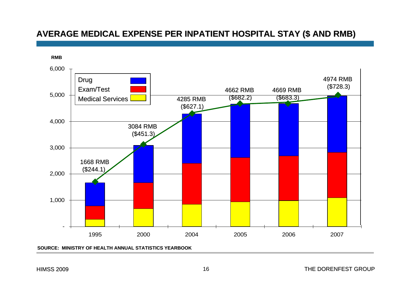#### **AVERAGE MEDICAL EXPENSE PER INPATIENT HOSPITAL STAY (\$ AND RMB) AVERAGE MEDICAL EXPENSE PER INPATIENT HOSPITAL STAY (\$ AND RMB)**



**SOURCE: MINISTRY OF HEALTH ANNUAL STATISTICS YEARBOOK**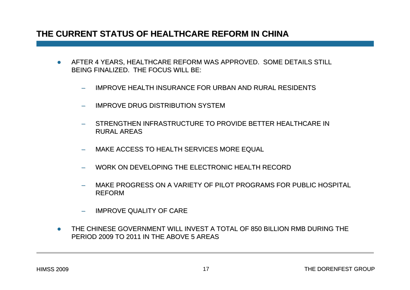#### **THE CURRENT STATUS OF HEALTHCARE REFORM IN CHINA THE CURRENT STATUS OF HEALTHCARE REFORM IN CHINA**

- $\bullet$ AFTER 4 YEARS, HEALTHCARE REFORM WAS APPROVED. SOME DETAILS STILL BEING FINALIZED. THE FOCUS WILL BE:
	- $\overline{\phantom{0}}$ IMPROVE HEALTH INSURANCE FOR URBAN AND RURAL RESIDENTS
	- –IMPROVE DRUG DISTRIBUTION SYSTEM
	- STRENGTHEN INFRASTRUCTURE TO PROVIDE BETTER HEALTHCARE IN RURAL AREAS
	- MAKE ACCESS TO HEALTH SERVICES MORE EQUAL
	- WORK ON DEVELOPING THE ELECTRONIC HEALTH RECORD
	- MAKE PROGRESS ON A VARIETY OF PILOT PROGRAMS FOR PUBLIC HOSPITAL REFORM
	- –**IMPROVE QUALITY OF CARE**
- z THE CHINESE GOVERNMENT WILL INVEST A TOTAL OF 850 BILLION RMB DURING THE RING THE PERIOD 2009 TO 2011 IN THE ABOVE 5 AREAS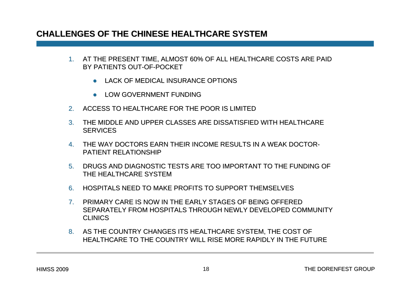#### **CHALLENGES OF THE CHINESE HEALTHCARE SYSTEM**

- 1. AT THE PRESENT TIME, ALMOST 60% OF ALL HEALTHCARE COSTS ARE PAID BY PATIENTS OUT-OF-POCKET
	- $\bullet$  LACK OF MEDICAL INSURANCE OPTIONS
	- $\bullet$  LOW GOVERNMENT FUNDING
- 2.ACCESS TO HEALTHCARE FOR THE POOR IS LIMITED
- 3. THE MIDDLE AND UPPER CLASSES ARE DISSATISFIED WITH HEALTHCARE  $\,$ **SERVICES**
- 4. THE WAY DOCTORS EARN THEIR INCOME RESULTS IN A WEAK DOCTOR-PATIENT RELATIONSHIP
- 5. DRUGS AND DIAGNOSTIC TESTS ARE TOO IMPORTANT TO THE FUNDING OF THE HEALTHCARE SYSTEM
- 6. HOSPITALS NEED TO MAKE PROFITS TO SUPPORT THEMSELVES
- 7. PRIMARY CARE IS NOW IN THE EARLY STAGES OF BEING OFFERED PRIMARY CARE IS NOW IN THE EARLY STAGES OF BEING OFFERED SEPARATELY FROM HOSPITALS THROUGH NEWLY DEVELOPED COMMUNITY **CLINICS**
- 8. AS THE COUNTRY CHANGES ITS HEALTHCARE SYSTEM, THE COST OF HEALTHCARE TO THE COUNTRY WILL RISE MORE RAPIDLY IN THE FUTURE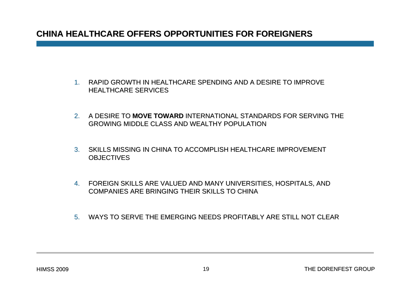#### **CHINA HEALTHCARE OFFERS OPPORTUNITIES FOR FOREIGNERS CHINA HEALTHCARE OFFERS OPPORTUNITIES FOR FOREIGNERS**

- 1. RAPID GROWTH IN HEALTHCARE SPENDING AND A DESIRE TO IMPROVE **HEALTHCARE SERVICES**
- 2. A DESIRE TO **MOVE TOWARD** INTERNATIONAL STANDARDS FOR SERVING THE GROWING MIDDLE CLASS AND WEALTHY POPULATION
- 3. SKILLS MISSING IN CHINA TO ACCOMPLISH HEALTHCARE IMPROVEMENT  $\,$ **OBJECTIVES**
- 4. FOREIGN SKILLS ARE VALUED AND MANY UNIVERSITIES, HOSPITALS, AND COMPANIES ARE BRINGING THEIR SKILLS TO CHINA
- 5. WAYS TO SERVE THE EMERGING NEEDS PROFITABLY ARE STILL NOT CLEAR  $\,$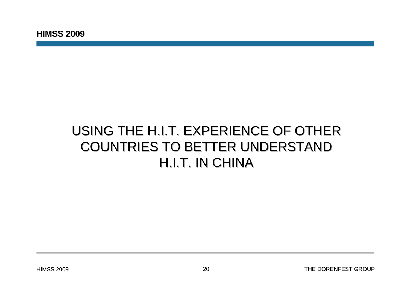## USING THE H.I.T. EXPERIENCE OF OTHER COUNTRIES TO BETTER UNDERSTAND COUNTRIES TO BETTER UNDERSTAND H.I.T. IN CHINA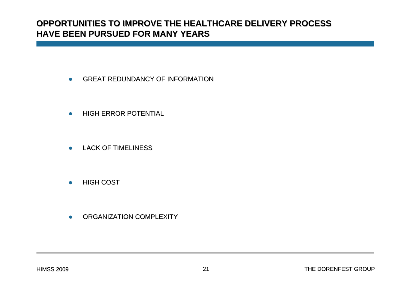#### **OPPORTUNITIES TO IMPROVE THE HEALTHCARE DELIVERY PROCESS TO IMPROVE THE HEALTHCARE DELIVERY PROCESSHAVE BEEN PURSUED FOR MANY YEARS HAVE BEEN PURSUED FOR MANY YEARS**

- $\bullet$ GREAT REDUNDANCY OF INFORMATION
- $\bullet$ **HIGH ERROR POTENTIAL**
- $\bullet$ LACK OF TIMELINESS
- $\bullet$ HIGH COST
- $\bullet$ ORGANIZATION COMPLEXITY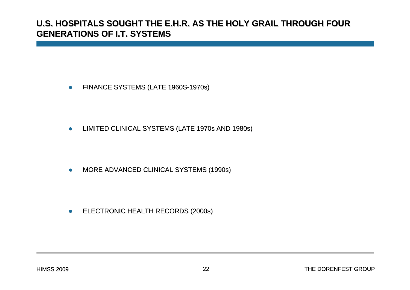#### **U.S. HOSPITALS SOUGHT THE E.H.R. AS THE HOLY GRAIL THROUGH FOUR U.S. HOSPITALS SOUGHT THE E.H.R. AS THE HOLY GRAIL THROUGH FOUR GENERATIONS OF I.T. SYSTEMS GENERATIONS OF I.T. SYSTEMS**

 $\bullet$ FINANCE SYSTEMS (LATE 1960S-1970s)

 $\bullet$ LIMITED CLINICAL SYSTEMS (LATE 1970s AND 1980s)

 $\bullet$ MORE ADVANCED CLINICAL SYSTEMS (1990s)

 $\bullet$ ELECTRONIC HEALTH RECORDS (2000s) ELECTRONIC HEALTH RECORDS (2000s)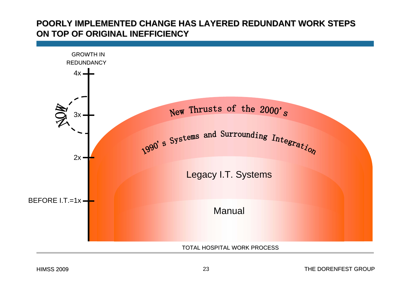#### POORLY IMPLEMENTED CHANGE HAS LAYERED REDUNDANT WORK STEPS **S ON TOP OF ORIGINAL INEFFICIENCY ON TOP OF ORIGINAL INEFFICIENCY**

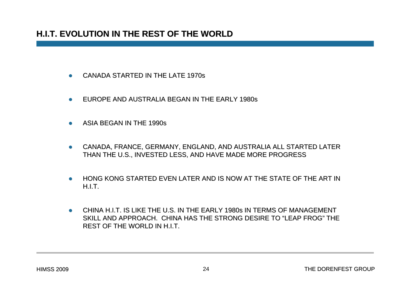### **H.I.T. EVOLUTION IN THE REST OF THE WORLD H.I.T. EVOLUTION IN THE REST OF THE WORLD**

- zCANADA STARTED IN THE LATE 1970s
- $\bullet$ EUROPE AND AUSTRALIA BEGAN IN THE EARLY 1980s
- $\bullet$ ASIA BEGAN IN THE 1990s
- $\bullet$  CANADA, FRANCE, GERMANY, ENGLAND, AND AUSTRALIA ALL STARTED LATER THAN THE U.S., INVESTED LESS, AND HAVE MADE MORE PROGRESS
- $\bullet$ HONG KONG STARTED EVEN LATER AND IS NOW AT THE STATE OF THE ART IN H.I.T.
- $\bullet$ CHINA H.I.T. IS LIKE THE U.S. IN THE EARLY 1980s IN TERMS OF MANAGEMENT SKILL AND APPROACH. CHINA HAS THE STRONG DESIRE TO "LEAP FROG" THE REST OF THE WORLD IN H.I.T.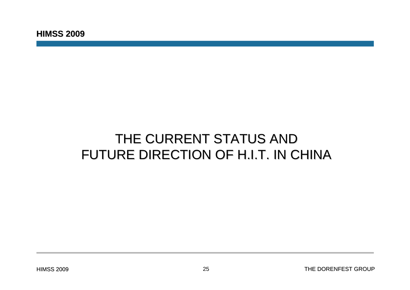## THE CURRENT STATUS AND FUTURE DIRECTION OF H.I.T. IN CHINA FUTURE DIRECTION OF H.I.T. IN CHINA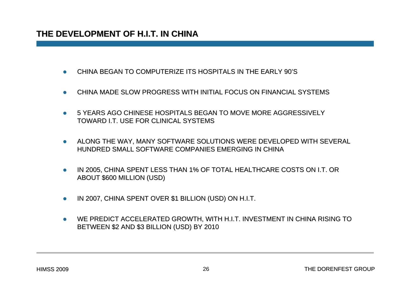- zCHINA BEGAN TO COMPUTERIZE ITS HOSPITALS IN THE EARLY 90'S
- zCHINA MADE SLOW PROGRESS WITH INITIAL FOCUS ON FINANCIAL SYSTEMS
- z5 YEARS AGO CHINESE HOSPITALS BEGAN TO MOVE MORE AGGRESSIVELY TOWARD I.T. USE FOR CLINICAL SYSTEMS
- $\bullet$  ALONG THE WAY, MANY SOFTWARE SOLUTIONS WERE DEVELOPED WITH SEVERAL HUNDRED SMALL SOFTWARE COMPANIES EMERGING IN CHINA
- $\bullet$ IN 2005, CHINA SPENT LESS THAN 1% OF TOTAL HEALTHCARE COSTS ON I.T. OR ABOUT \$600 MILLION (USD)
- zIN 2007, CHINA SPENT OVER \$1 BILLION (USD) ON H.I.T.
- $\bullet$ WE PREDICT ACCELERATED GROWTH, WITH H.I.T. INVESTMENT IN CHINA RISING TO BETWEEN \$2 AND \$3 BILLION (USD) BY 2010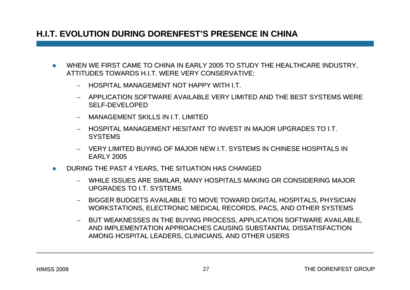#### **H.I.T. EVOLUTION DURING DORENFEST H.I.T. EVOLUTION DURING DORENFEST'S PRESENCE IN CHINA S PRESENCE IN CHINA**

- zWHEN WE FIRST CAME TO CHINA IN EARLY 2005 TO STUDY THE HEALTHCARE INDUSTRY, ATTITUDES TOWARDS H.I.T. WERE VERY CONSERVATIVE:
	- $\,$  HOSPITAL MANAGEMENT NOT HAPPY WITH I.T.
	- APPLICATION SOFTWARE AVAILABLE VERY LIMITED AND THE BEST SYSTEMS WERE SELF-DEVELOPED
	- MANAGEMENT SKILLS IN LT LIMITED
	- HOSPITAL MANAGEMENT HESITANT TO INVEST IN MAJOR UPGRADES TO I.T. **SYSTEMS**
	- VERY LIMITED BUYING OF MAJOR NEW I.T. SYSTEMS IN CHINESE HOSPITALS IN EARLY 2005
- zDURING THE PAST 4 YEARS, THE SITUATION HAS CHANGED
	- WHILE ISSUES ARE SIMILAR, MANY HOSPITALS MAKING OR CONSIDERING MAJOR UPGRADES TO I.T. SYSTEMS
	- BIGGER BUDGETS AVAILABLE TO MOVE TOWARD DIGITAL HOSPITALS, PHYSICIAN WORKSTATIONS, ELECTRONIC MEDICAL RECORDS, PACS, AND OTHER SYSTEMS
	- BUT WEAKNESSES IN THE BUYING PROCESS, APPLICATION SOFTWARE AVAILABLE, AND IMPLEMENTATION APPROACHES CAUSING SUBSTANTIAL DISSATISFACTION AMONG HOSPITAL LEADERS, CLINICIANS, AND OTHER USERS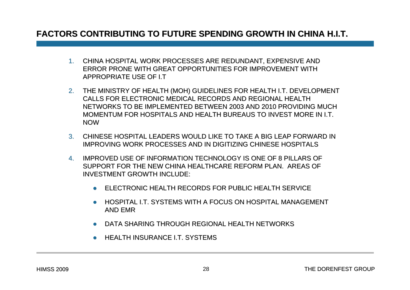#### **FACTORS CONTRIBUTING TO FUTURE SPENDING GROWTH IN CHINA H.I.T. FACTORS CONTRIBUTING TO FUTURE SPENDING GROWTH IN CHINA H.I.T.**

- 1. CHINA HOSPITAL WORK PROCESSES ARE REDUNDANT, EXPENSIVE AND ERROR PRONE WITH GREAT OPPORTUNITIES FOR IMPROVEMENT WITH APPROPRIATE USE OF I.T
- 2. THE MINISTRY OF HEALTH (MOH) GUIDELINES FOR HEALTH I.T. DEVELOPMENT CALLS FOR ELECTRONIC MEDICAL RECORDS AND REGIONAL HEALTH NETWORKS TO BE IMPLEMENTED BETWEEN 2003 AND 2010 PROVIDING MUCH MOMENTUM FOR HOSPITALS AND HEALTH BUREAUS TO INVEST MORE IN I.T. NOW
- 3. CHINESE HOSPITAL LEADERS WOULD LIKE TO TAKE A BIG LEAP FORWARD I TO TAKE A BIG LEAP FORWARD IN IMPROVING WORK PROCESSES AND IN DIGITIZING CHINESE HOSPITALS
- 4.IMPROVED USE OF INFORMATION TECHNOLOGY IS ONE OF 8 PILLARS OF SUPPORT FOR THE NEW CHINA HEALTHCARE REFORM PLAN. AREAS OF INVESTMENT GROWTH INCLUDE:
	- $\bullet$  ELECTRONIC HEALTH RECORDS FOR PUBLIC HEALTH SERVICE
	- $\bullet$  HOSPITAL I.T. SYSTEMS WITH A FOCUS ON HOSPITAL MANAGEMENT  $\bullet$ AND EMR
	- $\bullet$  DATA SHARING THROUGH REGIONAL HEALTH NETWORKS
	- $\bullet$  HEALTH INSURANCE I.T. SYSTEMS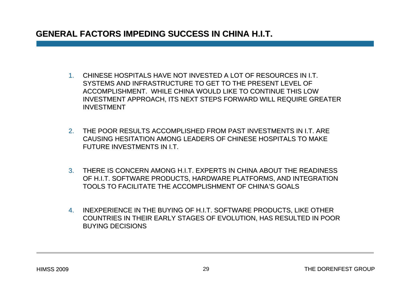#### **GENERAL FACTORS IMPEDING SUCCESS IN CHINA H.I.T.**

- 1. CHINESE HOSPITALS HAVE NOT INVESTED A LOT OF RESOURCES IN I.T. SYSTEMS AND INFRASTRUCTURE TO GET TO THE PRESENT LEVEL OF ACCOMPLISHMENT. WHILE CHINA WOULD LIKE TO CONTINUE THIS LOW INVESTMENT APPROACH, ITS NEXT STEPS FORWARD WILL REQUIRE GREATER INVESTMENT
- 2. THE POOR RESULTS ACCOMPLISHED FROM PAST INVESTMENTS IN I.T. ARE CAUSING HESITATION AMONG LEADERS OF CHINESE HOSPITALS TO MAKE FUTURE INVESTMENTS IN I.T.
- 3. THERE IS CONCERN AMONG H.I.T. EXPERTS IN CHINA ABOUT THE READINESS OF H.I.T. SOFTWARE PRODUCTS, HARDWARE PLATFORMS, AND INTEGRATION TOOLS TO FACILITATE THE ACCOMPLISHMENT OF CHINA'S GOALS
- 4. INEXPERIENCE IN THE BUYING OF H.I.T. SOFTWARE PRODUCTS, LIKE OTHER COUNTRIES IN THEIR EARLY STAGES OF EVOLUTION, HAS RESULTED IN POOR BUYING DECISIONS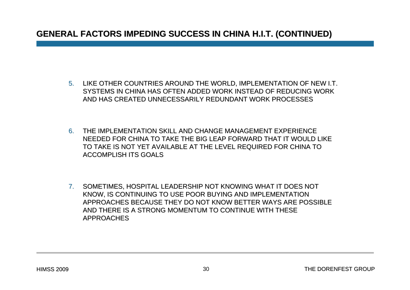#### **GENERAL FACTORS IMPEDING SUCCESS IN CHINA H.I.T. (CONTINUED) GENERAL FACTORS IMPEDING SUCCESS IN CHINA H.I.T. (CONTINUED)**

- 5. LIKE OTHER COUNTRIES AROUND THE WORLD, IMPLEMENTATION OF NEW I.T. SYSTEMS IN CHINA HAS OFTEN ADDED WORK INSTEAD OF REDUCING WORK AND HAS CREATED UNNECESSARILY REDUNDANT WORK PROCESSES
- 6. THE IMPLEMENTATION SKILL AND CHANGE MANAGEMENT EXPERIENCE THE IMPLEMENTATION AND CHANGE EXPERIENCE NEEDED FOR CHINA TO TAKE THE BIG LEAP FORWARD THAT IT WOULD LIKE TO TAKE IS NOT YET AVAILABLE AT THE LEVEL REQUIRED FOR CHINA TO ACCOMPLISH ITS GOALS
- 7. SOMETIMES, HOSPITAL LEADERSHIP NOT KNOWING WHAT IT DOES NOT KNOW, IS CONTINUING TO USE POOR BUYING AND IMPLEMENTATION APPROACHES BECAUSE THEY DO NOT APPROACHES BECAUSE THEY DO NOT KNOW BETTER WAYS ARE POSSIBLE KNOW BETTER WAYS ARE POSSIBLE AND THERE IS A STRONG MOMENTUM TO CONTINUE WITH THESE APPROACHES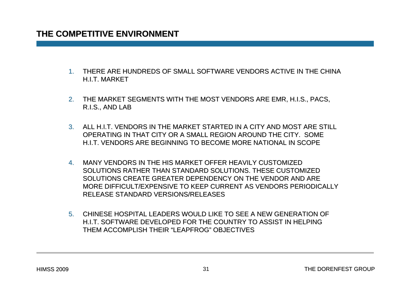- 1. THERE ARE HUNDREDS OF SMALL SOFTWARE VENDORS ACTIVE IN THE CHINAHIT MARKFT
- 2. THE MARKET SEGMENTS WITH THE MOST VENDORS ARE EMR, H.I.S., PACS, R.I.S., AND LAB
- 3. ALL H.I.T. VENDORS IN THE MARKET STARTED IN A CITY AND MOST ARE STILL OPERATING IN THAT CITY OR A SMALL REGION AROUND THE CITY. SOME H.I.T. VENDORS ARE BEGINNING TO BECOME MORE NATIONAL IN SCOPE
- 4. MANY VENDORS IN THE HIS MARKET OFFER HEAVILY CUSTOMIZED SOLUTIONS RATHER THAN STANDARD SOLUTIONS RATHER THAN STANDARD SOLUTIONS. THESE CUSTOMIZED SOLUTIONS. THESE CUSTOMIZED SOLUTIONS CREATE GREATER DEPENDENCY ON THE VENDOR AND ARE MORE DIFFICULT/EXPENSIVE TO KEEP CURRENT AS VENDORS PERIODICALLY RELEASE STANDARD VERSIONS/RELEASES
- 5. CHINESE HOSPITAL LEADERS WOULD LIKE TO SEE A NEW GENERATION OF H.I.T. SOFTWARE DEVELOPED FOR THE COUNTRY TO ASSIST IN HELPING THEM ACCOMPLISH THEIR "LEAPFROG" OBJECTIVES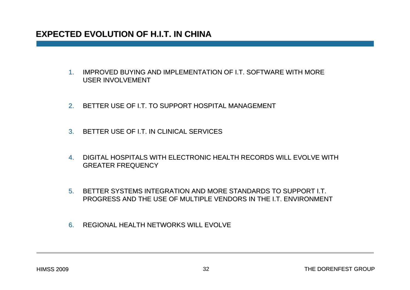#### **EXPECTED EVOLUTION OF H.I.T. IN CHINA EXPECTED EVOLUTION OF H.I.T. IN CHINA**

- 1. IMPROVED BUYING AND IMPLEMENTATION OF I.T. SOFTWARE WITH MORE OF I.T. SOFTWARE WITH MORE USER INVOLVEMENT
- 2. BETTER USE OF I.T. TO SUPPORT HOSPITAL MANAGEMENT
- 3. BETTER USE OF I.T. IN CLINICAL SERVICES
- 4. DIGITAL HOSPITALS WITH ELECTRONIC HEALTH RECORDS WILL EVOLVE WITH GREATER FREQUENCY
- 5. BETTER SYSTEMS INTEGRATION AND MORE STANDARDS TO SUPPORT I.T. RE STANDARDS TO SUPPORT I.T. PROGRESS AND THE USE OF MULTIPLE VENDORS IN THE LT. ENVIRONMENT
- 6.REGIONAL HEALTH NETWORKS WILL EVOLVE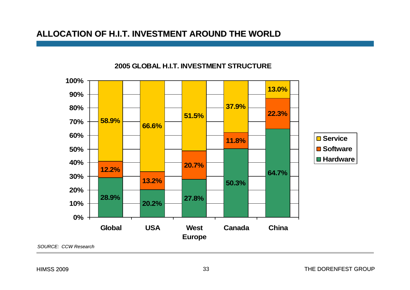#### **ALLOCATION OF H.I.T. INVESTMENT AROUND THE WORLD ALLOCATION OF H.I.T. INVESTMENT AROUND THE WORLD**



#### **2005 GLOBAL H.I.T. INVESTMENT STRUCTURE**

HIMSS 2009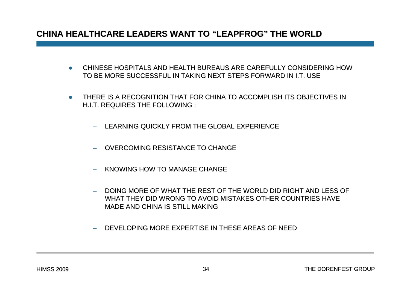#### **CHINA HEALTHCARE LEADERS WANT TO CHINA HEALTHCARE LEADERS WANT TO "LEAPFROG LEAPFROG" THE WORLD THE WORLD**

- $\bullet$  CHINESE HOSPITALS AND HEALTH BUREAUS ARE CAREFULLY CONSIDERING HOW TO BE MORE SUCCESSFUL IN TAKING NEXT STEPS FORWARD IN I.T. USE
- $\bullet$ THERE IS A RECOGNITION THAT FOR CHINA TO ACCOMPLISH ITS OBJECTIVES IN H.I.T. REQUIRES THE FOLLOWING :
	- LEARNING QUICKLY FROM THE GLOBAL EXPERIENCE
	- OVERCOMING RESISTANCE TO CHANGE
	- KNOWING HOW TO MANAGE CHANGE
	- DOING MORE OF WHAT THE REST OF THE WORLD DID RIGHT AND LESS OF  $\overline{\phantom{a}}$ WHAT THEY DID WRONG TO AVOID MISTAKES OTHER COUNTRIES HAVE MADE AND CHINA IS STILL MAKING
	- DEVELOPING MORE EXPERTISE IN THESE AREAS OF NEED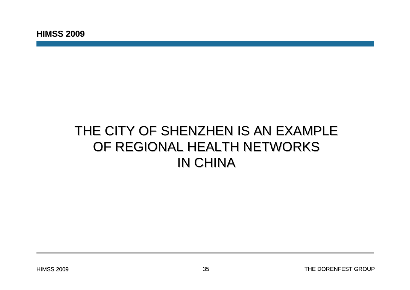## THE CITY OF SHENZHEN IS AN EXAMPLE OF REGIONAL HEALTH NETWORKS IN CHINA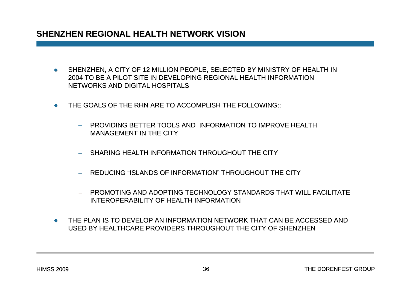#### **SHENZHEN REGIONAL HEALTH NETWORK VISION SHENZHEN REGIONAL HEALTH NETWORK VISION**

- $\bullet$  SHENZHEN, A CITY OF 12 MILLION PEOPLE, SELECTED BY MINISTRY OF HEALTH IN 2004 TO BE A PILOT SITE IN DEVELOPING REGIONAL HEALTH INFORMATION NETWORKS AND DIGITAL HOSPITALS
- $\bullet$ THE GOALS OF THE RHN ARE TO ACCOMPLISH THE FOLLOWING::
	- PROVIDING BETTER TOOLS AND INFORMATION TO IMPROVE HEALTH MANAGEMENT IN THE CITY
	- SHARING HEALTH INFORMATION THROUGHOUT THE CITY
	- $\,$  REDUCING "ISLANDS OF INFORMATION" THROUGHOUT THE CITY  $\,$
	- PROMOTING AND ADOPTING TECHNOLOGY STANDARDS THAT WILL FACILITATEINTEROPERABILITY OF HEALTH INFORMATION
- $\bullet$  THE PLAN IS TO DEVELOP AN INFORMATION NETWORK THAT CAN BE ACCESSED AND USED BY HEALTHCARE PROVIDERS THROUGHOUT THE CITY OF SHENZHEN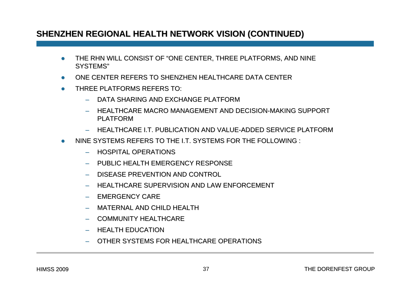#### **SHENZHEN REGIONAL HEALTH NETWORK VISION SHENZHEN REGIONAL HEALTH NETWORK VISION (CONTINUED) (CONTINUED)**

- zTHE RHN WILL CONSIST OF "ONE CENTER, THREE PLATFORMS, AND NINE SYSTEMS"
- zONE CENTER REFERS TO SHENZHEN HEALTHCARE DATA CENTER
- zTHREE PLATFORMS REFERS TO:
	- DATA SHARING AND EXCHANGE PLATFORM
	- HEALTHCARE MACRO MANAGEMENT AND DECISION-MAKING SUPPORT PLATFORM
	- –HEALTHCARE I.T. PUBLICATION AND VALUE-ADDED SERVICE PLATFORM
- z NINE SYSTEMS REFERS TO NINE SYSTEMS REFERS TO THE I.T. SYSTEMS FOR THE FOLLOWING THE I.T. SYSTEMS FOR THE FOLLOWING :
	- –HOSPITAL OPERATIONS
	- PUBLIC HEALTH EMERGENCY RESPONSE PUBLIC HEALTH EMERGENCY RESPONSE
	- DISEASE PREVENTION AND CONTROL
	- –HEALTHCARE SUPERVISION AND LAW ENFORCEMENT
	- EMERGENCY CARE
	- MATERNAL AND CHILD HEALTH
	- COMMUNITY HEALTHCARE
	- –**HEALTH EDUCATION**
	- OTHER SYSTEMS FOR HEALTHCARE OPERATIONS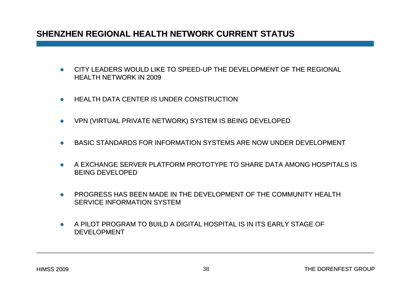#### **SHENZHEN REGIONAL HEALTH NETWORK CURRENT STATUS**

- $\bullet$ CITY LEADERS WOULD LIKE TO SPEED-UP THE DEVELOPMENT OF THE REGIONAL HEALTH NETWORK IN 2009
- $\bullet$ HEALTH DATA CENTER IS UNDER CONSTRUCTION
- $\bullet$ VPN (VIRTUAL PRIVATE NETWORK) SYSTEM IS BEING DEVELOPED
- $\bullet$ BASIC STANDARDS FOR INFORMATION BASIC STANDARDS FOR INFORMATION SYSTEMS ARE NOW UNDER DEVELOPMENT
- z A EXCHANGE SERVER PLATFORM PROTOTYPE TO SHARE DATA AMONG HOSPITALS IS BEING DEVELOPED
- $\bullet$  PROGRESS HAS BEEN MADE IN THE DEVELOPMENT OF THE LOPMENT OF THE COMMUNITY HEALTH SERVICE INFORMATION SYSTEM
- $\bullet$  A PILOT PROGRAM TO BUILD A DIGITAL HOSPITAL A PILOT PROGRAM TO BUILD A DIGITAL HOSPITAL IS IN ITS EARLY STAGE OF IS IN ITS EARLY STAGE OF **DEVELOPMENT**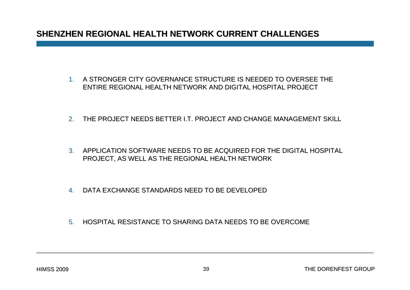#### **SHENZHEN REGIONAL HEALTH NETWORK CURRENT CHALLENGES**

- 1. A STRONGER CITY GOVERNANCE STRUCTURE IS NEEDED TO OVERSEE THE  $\,$ ENTIRE REGIONAL HEALTH NETWORK AND DIGITAL HOSPITAL PROJECT
- 2. THE PROJECT NEEDS BETTER I.T. PROJECT AND CHANGE MANAGEMENT SKILL
- 3. APPLICATION SOFTWARE NEEDS TO BE ACQUIRED FOR THE DIGITAL HOSPITAL PROJECT, AS WELL AS THE REGIONAL HEALTH NETWORK PROJECT, AS WELL AS THE REGIONAL HEALTH NETWORK
- 4. DATA EXCHANGE STANDARDS NEED TO BE DEVELOPED
- 5. HOSPITAL RESISTANCE TO SHARING DATA NEEDS TO BE OVERCOME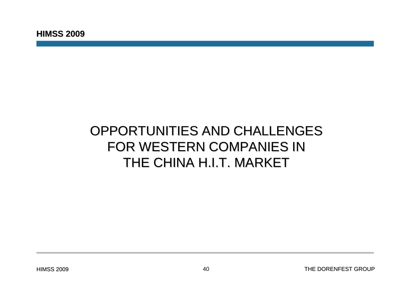## OPPORTUNITIES AND CHALLENGES FOR WESTERN COMPANIES IN THE CHINA H.I.T. MARKET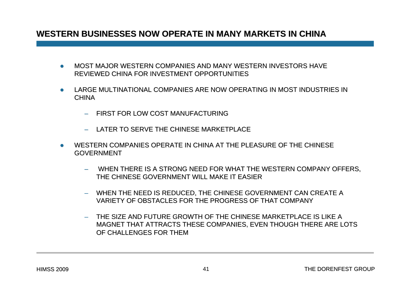#### WESTERN BUSINESSES NOW OPERATE IN MANY MARKETS IN CHINA

- zMOST MAJOR WESTERN COMPANIES AND MANY WESTERN INVESTORS HAVE REVIEWED CHINA FOR INVESTMENT OPPORTUNITIES
- $\bullet$ LARGE MULTINATIONAL COMPANIES ARE NOW OPERATING IN MOST INDUSTRIES IN **CHINA** 
	- FIRST FOR LOW COST MANUFACTURING
	- LATER TO SERVE THE CHINESE MARKETPLACE
- z WESTERN COMPANIES OPERATE IN CHINA AT THE PLEASURE OF THE CHINESE GOVERNMENT
	- WHEN THERE IS A STRONG NEED FOR WHAT THE WESTERN COMPANY OFFERS, THE CHINESE GOVERNMENT WILL MAKE IT EASIER
	- WHEN THE NEED IS REDUCED, THE CHINESE GOVERNMENT CAN CREATE A VARIETY OF OBSTACLES FOR THE PROGRESS OF THAT COMPANY
	- $\,$  THE SIZE AND FUTURE GROWTH OF THE CHINESE MARKETPLACE IS LIKE A  $\,$ MAGNET THAT ATTRACTS THESE COMPANIES, EVEN THOUGH THERE ARE LOTS OF CHALLENGES FOR THEM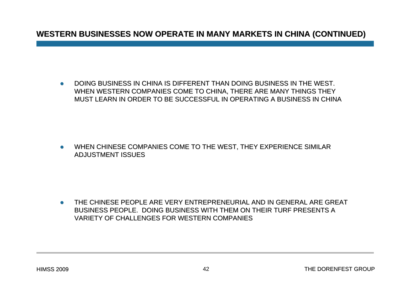#### **WESTERN BUSINESSES NOW OPERATE IN WESTERN BUSINESSES NOW OPERATE IN MANY MARKETS IN CHINA (CONTINU MANY MARKETS IN CHINA (CONTINUED)**

 $\bullet$  DOING BUSINESS IN CHINA IS DIFFERENT THAN DOING BUSINESS IN THE DOING BUSINESS IN CHINA IS DIFFERENT THAN DOING BUSINESS IN THE WEST. WHEN WESTERN COMPANIES COME TO CHINA, THERE ARE MANY THINGS THEY MUST LEARN IN ORDER TO BE SUCCESSFUL IN OPERATING A BUSINESS IN CHINA

 $\bullet$ WHEN CHINESE COMPANIES COME TO THE WEST, THEY EXPERIENCE SIMILAR ADJUSTMENT ISSUES

 $\bullet$  THE CHINESE PEOPLE ARE VERY ENTREPRENEURIAL AND IN GENERAL ARE GREAT BUSINESS PEOPLE. DOING BUSINESS WITH THEM ON THEIR TURF PRESENTS A VARIETY OF CHALLENGES FOR WESTERN COMPANIES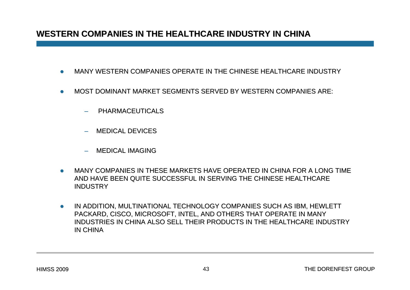#### WESTERN COMPANIES IN THE HEALTHCARE INDUSTRY IN CHINA

- $\bullet$ MANY WESTERN COMPANIES OPERATE IN THE CHINESE HEALTHCARE INDUSTRY
- zMOST DOMINANT MARKET SEGMENTS SERVED BY WESTERN COMPANIES ARE:
	- **PHARMACEUTICALS**
	- MEDICAL DEVICES
	- MEDICAL IMAGING
- $\bullet$  MANY COMPANIES IN THESE MARKETS HAVE OPERATED IN CHINA FOR A LONG TIME AND HAVE BEEN QUITE SUCCESSFUL IN SERVING THE CHINESE HEALTHCARE INDUSTRY
- $\bullet$  IN ADDITION, MULTINATIONAL TECHNOLOGY COMPANIES SUCH AS IBM, HEWLETT PACKARD, CISCO, MICROSOFT, INTEL, AND OTHERS THAT OPERATE IN MANY INDUSTRIES IN CHINA ALSO SELL THEIR PRODUCTS IN THE HEALTHCARE INDUSTRY IN CHINA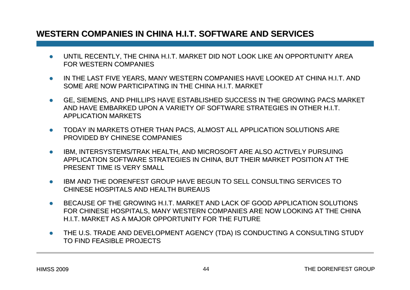#### **WESTERN COMPANIES IN CHINA H.I.T. SOFTWARE AND SERVICES WESTERN COMPANIES IN CHINA H.I.T. SOFTWARE AND SERVICES**

- $\bullet$ UNTIL RECENTLY, THE CHINA H.I.T. MARKET DID NOT LOOK LIKE AN OPPORTUNITY AREA FOR WESTERN COMPANIES
- $\bullet$ IN THE LAST FIVE YEARS, MANY WESTERN COMPANIES HAVE LOOKED AT CHINA H.I.T. AND SOME ARE NOW PARTICIPATING IN THE CHINA H.I.T. MARKET
- $\bullet$ GE, SIEMENS, AND PHILLIPS HAVE ESTABLISHED SUCCESS IN THE GROWING PACS MARKET AND HAVE EMBARKED UPON A VARIETY OF SOFTWARE STRATEGIES IN OTHER H.I.T. **APPLICATION MARKETS**
- $\bullet$  TODAY IN MARKETS OTHER THAN PACS, ALMOST ALL APPLICATION SOLUTIONS ARE PROVIDED BY CHINESE COMPANIES
- $\bullet$ IBM, INTERSYSTEMS/TRAK HEALTH, AND MICROSOFT ARE ALSO ACTIVELY PURSUING APPLICATION SOFTWARE STRATEGIES IN CHINA, BUT THEIR MARKET POSITION AT THE **PRESENT TIME IS VERY SMALL**
- $\bullet$  IBM AND THE DORENFEST GROUP HAVE BEGUN TO SELL CONSULTING SERVICES TO CHINESE HOSPITALS AND HEALTH BUREAUS
- $\bullet$ BECAUSE OF THE GROWING H.I.T. MARKET AND LACK OF GOOD APPLICATION SOLUTIONS FOR CHINESE HOSPITALS, MANY WESTERN COMPANIES ARE NOW LOOKING AT THE CHINA H.I.T. MARKET AS A MAJOR OPPORTUNITY FOR THE FUTURE
- $\bullet$ THE U.S. TRADE AND DEVELOPMENT AGENCY (TDA) IS CONDUCTING A CONSULTING STUDY TO FIND FEASIBLE PROJECTS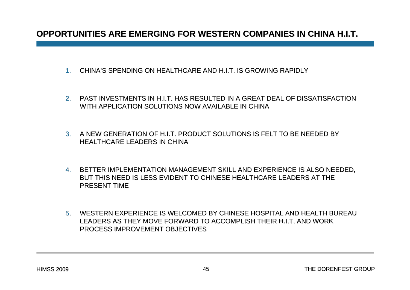#### **OPPORTUNITIES ARE EMERGING FOR WESTERN COMPANIES IN CHINA H.I.T.**

- 1. CHINA'S SPENDING ON HEALTHCARE AND H.I.T. IS GROWING RAPIDLY  $\,$
- 2. PAST INVESTMENTS IN H.I.T. HAS RESULTED IN A GREAT DEAL OF DISSATISFACTION TISFACTION WITH APPLICATION SOLUTIONS NOW AVAILABLE IN CHINA
- 3. A NEW GENERATION OF H.I.T. PRODUCT SOLUTIONS IS FELT TO BE NEEDED BY HEALTHCARE LEADERS IN CHINA
- 4. BETTER IMPLEMENTATION MANAGEMENT SKILL AND EXPERIENCE IS ALSO NEEDED, BUT THIS NEED IS LESS EVIDENT TO CHINESE HEALTHCARE LEADERS AT THE PRESENT TIME
- 5. WESTERN EXPERIENCE IS WELCOMED BY CHINESE HOSPITAL AND HEALTH BUREAU LEADERS AS THEY MOVE FORWARD TO ACCOMPLISH THEIR H.I.T. AND WORK PROCESS IMPROVEMENT OBJECTIVES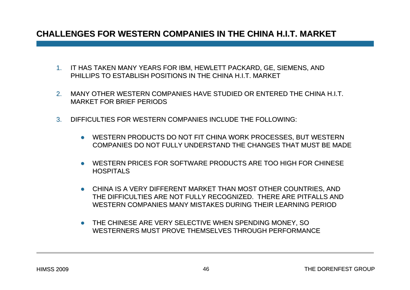#### **CHALLENGES FOR WESTERN COMPANIES IN THE CHINA H.I.T. MARKET CHALLENGES FOR WESTERN COMPANIES IN THE CHINA H.I.T. MARKET**

- 1. IT HAS TAKEN MANY YEARS FOR IBM, HEWLETT PACKARD, GE, SIEMENS, AND PHILLIPS TO ESTABLISH POSITIONS IN THE CHINA H.I.T. MARKET
- 2. MANY OTHER WESTERN COMPANIES HAVE STUDIED OR ENTERED THE CHINA H.I.T. MARKET FOR BRIEF PERIODS
- 3.DIFFICULTIES FOR WESTERN COMPANIES INCLUDE THE FOLLOWING:
	- $\bullet$  WESTERN PRODUCTS DO NOT FIT CHINA WORK PROCESSES, BUT WESTERN  $\bullet$ COMPANIES DO NOT FULLY UNDERSTAND THE CHANGES THAT MUST BE MADE
	- $\bullet$  WESTERN PRICES FOR SOFTWARE PRODUCTS ARE TOO HIGH FOR CHINESE HOSPITALS
	- $\bullet$  CHINA IS A VERY DIFFERENT MARKET THAN MOST OTHER COUNTRIES, AND THE DIFFICULTIES ARE NOT FULLY RECOGNIZED. THERE ARE PITEALLS AND WESTERN COMPANIES MANY MISTAKES DURING THEIR LEARNING PERIOD
	- $\bullet$  THE CHINESE ARE VERY SELECTIVE WHEN SPENDING MONEY, SO WESTERNERS MUST PROVE THEMSELVES THROUGH PERFORMANCE